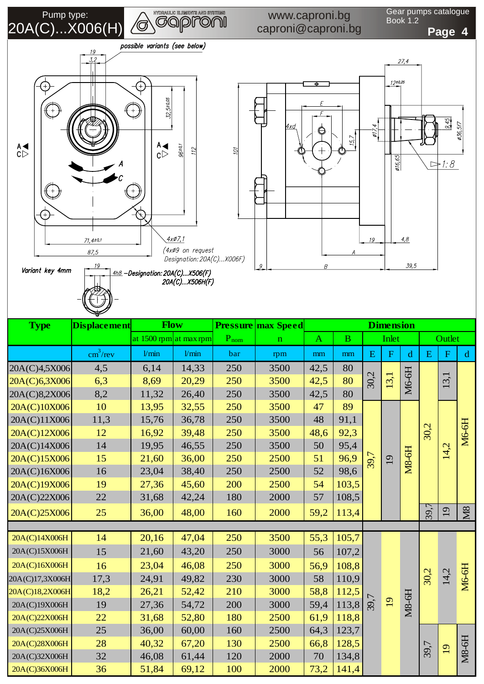**MORAULE ELEBRER AND STREBE** Pump type:  $\backslash\!\mathbb{G}$ 20A(C)...X006(H)

## www.caproni.bg caproni@caproni.bg

Gear pumps catalogue Book 1.2





| ᆓ               |                          |                        |       |           |                           |                  |          |           |           |              |           |                 |              |
|-----------------|--------------------------|------------------------|-------|-----------|---------------------------|------------------|----------|-----------|-----------|--------------|-----------|-----------------|--------------|
| <b>Type</b>     | <b>Displacement</b>      | <b>Flow</b>            |       |           | <b>Pressure max Speed</b> | <b>Dimension</b> |          |           |           |              |           |                 |              |
|                 |                          | at 1500 rpm at max rpm |       | $P_{nom}$ | $\mathbf n$               | $\mathbf{A}$     | $\bf{B}$ | Inlet     |           |              | Outlet    |                 |              |
|                 | $\text{cm}^3/\text{rev}$ | 1/min                  | 1/min | bar       | rpm                       | mm               | mm       | ${\bf E}$ | ${\bf F}$ | d            | ${\bf E}$ | $\mathbf F$     | $\mathbf d$  |
| 20A(C)4,5X006   | 4,5                      | 6,14                   | 14,33 | 250       | 3500                      | 42,5             | 80       | 30,2      |           |              |           | 13,1            | <b>M6-6H</b> |
| 20A(C)6,3X006   | 6,3                      | 8,69                   | 20,29 | 250       | 3500                      | 42,5             | 80       |           | 13,1      | M6-6H        |           |                 |              |
| 20A(C)8,2X006   | 8,2                      | 11,32                  | 26,40 | 250       | 3500                      | 42,5             | 80       |           |           |              |           |                 |              |
| 20A(C)10X006    | 10                       | 13,95                  | 32,55 | 250       | 3500                      | 47               | 89       | 39,7      |           |              | 30,2      |                 |              |
| 20A(C)11X006    | 11,3                     | 15,76                  | 36,78 | 250       | 3500                      | 48               | 91,1     |           |           |              |           |                 |              |
| 20A(C)12X006    | 12                       | 16,92                  | 39,48 | 250       | 3500                      | 48,6             | 92,3     |           |           |              |           | 14,2            |              |
| 20A(C)14X006    | 14                       | 19,95                  | 46,55 | 250       | 3500                      | 50               | 95,4     |           |           |              |           |                 |              |
| 20A(C)15X006    | 15                       | 21,60                  | 36,00 | 250       | 2500                      | 51               | 96,9     |           | 19        | <b>M8-6H</b> |           |                 |              |
| 20A(C)16X006    | 16                       | 23,04                  | 38,40 | 250       | 2500                      | 52               | 98,6     |           |           |              |           |                 |              |
| 20A(C)19X006    | 19                       | 27,36                  | 45,60 | 200       | 2500                      | 54               | 103,5    |           |           |              |           |                 |              |
| 20A(C)22X006    | 22                       | 31,68                  | 42,24 | 180       | 2000                      | 57               | 108,5    |           |           |              |           |                 |              |
| 20A(C)25X006    | 25                       | 36,00                  | 48,00 | 160       | 2000                      | 59,2             | 113,4    |           |           |              | 39,7      | 19              | M8           |
|                 |                          |                        |       |           |                           |                  |          |           |           |              |           |                 |              |
| 20A(C)14X006H   | 14                       | 20,16                  | 47,04 | 250       | 3500                      | 55,3             | 105,7    |           |           |              |           |                 |              |
| 20A(C)15X006H   | 15                       | 21,60                  | 43,20 | 250       | 3000                      | 56               | 107,2    |           |           |              |           |                 |              |
| 20A(C)16X006H   | 16                       | 23,04                  | 46,08 | 250       | 3000                      | 56,9             | 108,8    | 39,7      |           |              |           |                 |              |
| 20A(C)17,3X006H | 17,3                     | 24,91                  | 49,82 | 230       | 3000                      | 58               | 110,9    |           |           |              | 30,2      | 14,2            | <b>M6-6H</b> |
| 20A(C)18,2X006H | 18,2                     | 26,21                  | 52,42 | 210       | 3000                      | 58,8             | 112,5    |           | 19        |              |           |                 |              |
| 20A(C)19X006H   | 19                       | 27,36                  | 54,72 | 200       | 3000                      | 59,4             | 113,8    |           |           | <b>M8-6H</b> |           |                 |              |
| 20A(C)22X006H   | 22                       | 31,68                  | 52,80 | 180       | 2500                      | 61,9             | 118,8    |           |           |              |           |                 |              |
| 20A(C)25X006H   | 25                       | 36,00                  | 60,00 | 160       | 2500                      | 64,3             | 123,7    |           |           |              | 39,7      | $\overline{19}$ | <b>M8-6H</b> |
| 20A(C)28X006H   | 28                       | 40,32                  | 67,20 | 130       | 2500                      | 66,8             | 128,5    |           |           |              |           |                 |              |
| 20A(C)32X006H   | 32                       | 46,08                  | 61,44 | 120       | 2000                      | 70               | 134,8    |           |           |              |           |                 |              |
| 20A(C)36X006H   | 36                       | 51,84                  | 69,12 | 100       | 2000                      | 73,2             | 141,4    |           |           |              |           |                 |              |